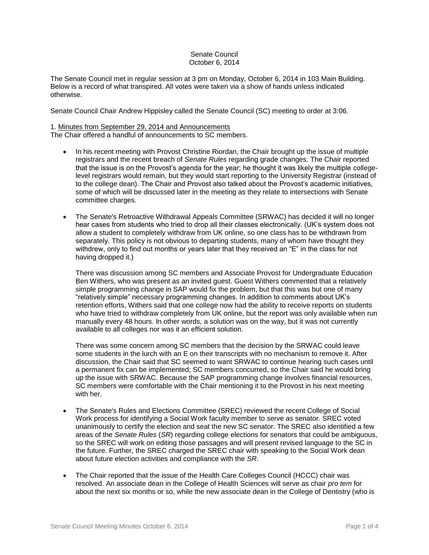# Senate Council October 6, 2014

The Senate Council met in regular session at 3 pm on Monday, October 6, 2014 in 103 Main Building. Below is a record of what transpired. All votes were taken via a show of hands unless indicated otherwise.

Senate Council Chair Andrew Hippisley called the Senate Council (SC) meeting to order at 3:06.

# 1. Minutes from September 29, 2014 and Announcements

The Chair offered a handful of announcements to SC members.

- In his recent meeting with Provost Christine Riordan, the Chair brought up the issue of multiple registrars and the recent breach of *Senate Rules* regarding grade changes. The Chair reported that the issue is on the Provost's agenda for the year; he thought it was likely the multiple collegelevel registrars would remain, but they would start reporting to the University Registrar (instead of to the college dean). The Chair and Provost also talked about the Provost's academic initiatives, some of which will be discussed later in the meeting as they relate to intersections with Senate committee charges.
- The Senate's Retroactive Withdrawal Appeals Committee (SRWAC) has decided it will no longer hear cases from students who tried to drop all their classes electronically. (UK's system does not allow a student to completely withdraw from UK online, so one class has to be withdrawn from separately. This policy is not obvious to departing students, many of whom have thought they withdrew, only to find out months or years later that they received an "E" in the class for not having dropped it.)

There was discussion among SC members and Associate Provost for Undergraduate Education Ben Withers, who was present as an invited guest. Guest Withers commented that a relatively simple programming change in SAP would fix the problem, but that this was but one of many "relatively simple" necessary programming changes. In addition to comments about UK's retention efforts, Withers said that one college now had the ability to receive reports on students who have tried to withdraw completely from UK online, but the report was only available when run manually every 48 hours. In other words, a solution was on the way, but it was not currently available to all colleges nor was it an efficient solution.

There was some concern among SC members that the decision by the SRWAC could leave some students in the lurch with an E on their transcripts with no mechanism to remove it. After discussion, the Chair said that SC seemed to want SRWAC to continue hearing such cases until a permanent fix can be implemented; SC members concurred, so the Chair said he would bring up the issue with SRWAC. Because the SAP programming change involves financial resources, SC members were comfortable with the Chair mentioning it to the Provost in his next meeting with her.

- The Senate's Rules and Elections Committee (SREC) reviewed the recent College of Social Work process for identifying a Social Work faculty member to serve as senator. SREC voted unanimously to certify the election and seat the new SC senator. The SREC also identified a few areas of the *Senate Rules* (*SR*) regarding college elections for senators that could be ambiguous, so the SREC will work on editing those passages and will present revised language to the SC in the future. Further, the SREC charged the SREC chair with speaking to the Social Work dean about future election activities and compliance with the *SR*.
- The Chair reported that the issue of the Health Care Colleges Council (HCCC) chair was resolved. An associate dean in the College of Health Sciences will serve as chair *pro tem* for about the next six months or so, while the new associate dean in the College of Dentistry (who is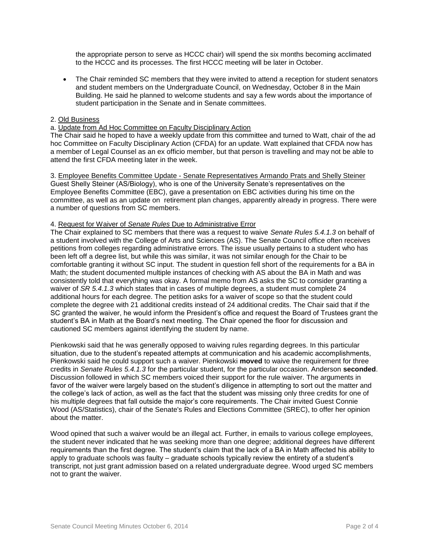the appropriate person to serve as HCCC chair) will spend the six months becoming acclimated to the HCCC and its processes. The first HCCC meeting will be later in October.

 The Chair reminded SC members that they were invited to attend a reception for student senators and student members on the Undergraduate Council, on Wednesday, October 8 in the Main Building. He said he planned to welcome students and say a few words about the importance of student participation in the Senate and in Senate committees.

# 2. Old Business

### a. Update from Ad Hoc Committee on Faculty Disciplinary Action

The Chair said he hoped to have a weekly update from this committee and turned to Watt, chair of the ad hoc Committee on Faculty Disciplinary Action (CFDA) for an update. Watt explained that CFDA now has a member of Legal Counsel as an ex officio member, but that person is travelling and may not be able to attend the first CFDA meeting later in the week.

3. Employee Benefits Committee Update - Senate Representatives Armando Prats and Shelly Steiner Guest Shelly Steiner (AS/Biology), who is one of the University Senate's representatives on the Employee Benefits Committee (EBC), gave a presentation on EBC activities during his time on the committee, as well as an update on retirement plan changes, apparently already in progress. There were a number of questions from SC members.

### 4. Request for Waiver of *Senate Rules* Due to Administrative Error

The Chair explained to SC members that there was a request to waive *Senate Rules 5.4.1.3* on behalf of a student involved with the College of Arts and Sciences (AS). The Senate Council office often receives petitions from colleges regarding administrative errors. The issue usually pertains to a student who has been left off a degree list, but while this was similar, it was not similar enough for the Chair to be comfortable granting it without SC input. The student in question fell short of the requirements for a BA in Math; the student documented multiple instances of checking with AS about the BA in Math and was consistently told that everything was okay. A formal memo from AS asks the SC to consider granting a waiver of *SR 5.4.1.3* which states that in cases of multiple degrees, a student must complete 24 additional hours for each degree. The petition asks for a waiver of scope so that the student could complete the degree with 21 additional credits instead of 24 additional credits. The Chair said that if the SC granted the waiver, he would inform the President's office and request the Board of Trustees grant the student's BA in Math at the Board's next meeting. The Chair opened the floor for discussion and cautioned SC members against identifying the student by name.

Pienkowski said that he was generally opposed to waiving rules regarding degrees. In this particular situation, due to the student's repeated attempts at communication and his academic accomplishments, Pienkowski said he could support such a waiver. Pienkowski **moved** to waive the requirement for three credits in *Senate Rules 5.4.1.3* for the particular student, for the particular occasion. Anderson **seconded**. Discussion followed in which SC members voiced their support for the rule waiver. The arguments in favor of the waiver were largely based on the student's diligence in attempting to sort out the matter and the college's lack of action, as well as the fact that the student was missing only three credits for one of his multiple degrees that fall outside the major's core requirements. The Chair invited Guest Connie Wood (AS/Statistics), chair of the Senate's Rules and Elections Committee (SREC), to offer her opinion about the matter.

Wood opined that such a waiver would be an illegal act. Further, in emails to various college employees, the student never indicated that he was seeking more than one degree; additional degrees have different requirements than the first degree. The student's claim that the lack of a BA in Math affected his ability to apply to graduate schools was faulty – graduate schools typically review the entirety of a student's transcript, not just grant admission based on a related undergraduate degree. Wood urged SC members not to grant the waiver.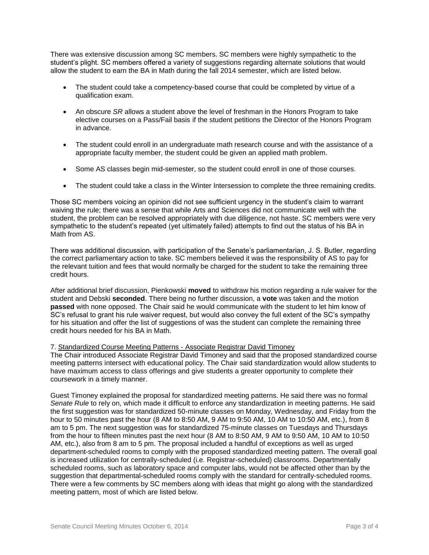There was extensive discussion among SC members. SC members were highly sympathetic to the student's plight. SC members offered a variety of suggestions regarding alternate solutions that would allow the student to earn the BA in Math during the fall 2014 semester, which are listed below.

- The student could take a competency-based course that could be completed by virtue of a qualification exam.
- An obscure *SR* allows a student above the level of freshman in the Honors Program to take elective courses on a Pass/Fail basis if the student petitions the Director of the Honors Program in advance.
- The student could enroll in an undergraduate math research course and with the assistance of a appropriate faculty member, the student could be given an applied math problem.
- Some AS classes begin mid-semester, so the student could enroll in one of those courses.
- The student could take a class in the Winter Intersession to complete the three remaining credits.

Those SC members voicing an opinion did not see sufficient urgency in the student's claim to warrant waiving the rule; there was a sense that while Arts and Sciences did not communicate well with the student, the problem can be resolved appropriately with due diligence, not haste. SC members were very sympathetic to the student's repeated (yet ultimately failed) attempts to find out the status of his BA in Math from AS.

There was additional discussion, with participation of the Senate's parliamentarian, J. S. Butler, regarding the correct parliamentary action to take. SC members believed it was the responsibility of AS to pay for the relevant tuition and fees that would normally be charged for the student to take the remaining three credit hours.

After additional brief discussion, Pienkowski **moved** to withdraw his motion regarding a rule waiver for the student and Debski **seconded**. There being no further discussion, a **vote** was taken and the motion **passed** with none opposed. The Chair said he would communicate with the student to let him know of SC's refusal to grant his rule waiver request, but would also convey the full extent of the SC's sympathy for his situation and offer the list of suggestions of was the student can complete the remaining three credit hours needed for his BA in Math.

### 7. Standardized Course Meeting Patterns - Associate Registrar David Timoney

The Chair introduced Associate Registrar David Timoney and said that the proposed standardized course meeting patterns intersect with educational policy. The Chair said standardization would allow students to have maximum access to class offerings and give students a greater opportunity to complete their coursework in a timely manner.

Guest Timoney explained the proposal for standardized meeting patterns. He said there was no formal *Senate Rule* to rely on, which made it difficult to enforce any standardization in meeting patterns. He said the first suggestion was for standardized 50-minute classes on Monday, Wednesday, and Friday from the hour to 50 minutes past the hour (8 AM to 8:50 AM, 9 AM to 9:50 AM, 10 AM to 10:50 AM, etc.), from 8 am to 5 pm. The next suggestion was for standardized 75-minute classes on Tuesdays and Thursdays from the hour to fifteen minutes past the next hour (8 AM to 8:50 AM, 9 AM to 9:50 AM, 10 AM to 10:50 AM, etc.), also from 8 am to 5 pm. The proposal included a handful of exceptions as well as urged department-scheduled rooms to comply with the proposed standardized meeting pattern. The overall goal is increased utilization for centrally-scheduled (i.e. Registrar-scheduled) classrooms. Departmentally scheduled rooms, such as laboratory space and computer labs, would not be affected other than by the suggestion that departmental-scheduled rooms comply with the standard for centrally-scheduled rooms. There were a few comments by SC members along with ideas that might go along with the standardized meeting pattern, most of which are listed below.